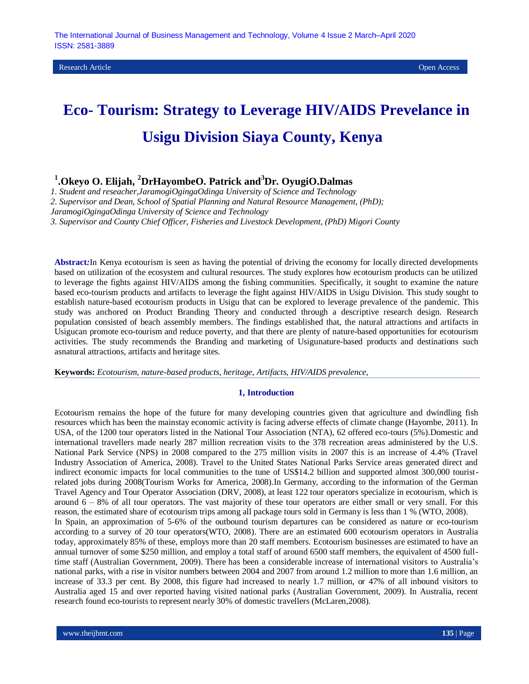Research Article Open Access

# **Eco- Tourism: Strategy to Leverage HIV/AIDS Prevelance in Usigu Division Siaya County, Kenya**

**1 .Okeyo O. Elijah, <sup>2</sup>DrHayombeO. Patrick and<sup>3</sup>Dr. OyugiO.Dalmas**

*1. Student and reseacher,JaramogiOgingaOdinga University of Science and Technology*

*2. Supervisor and Dean, School of Spatial Planning and Natural Resource Management, (PhD);*

*JaramogiOgingaOdinga University of Science and Technology*

*3. Supervisor and County Chief Officer, Fisheries and Livestock Development, (PhD) Migori County*

**Abstract***:*In Kenya ecotourism is seen as having the potential of driving the economy for locally directed developments based on utilization of the ecosystem and cultural resources. The study explores how ecotourism products can be utilized to leverage the fights against HIV/AIDS among the fishing communities. Specifically, it sought to examine the nature based eco-tourism products and artifacts to leverage the fight against HIV/AIDS in Usigu Division. This study sought to establish nature-based ecotourism products in Usigu that can be explored to leverage prevalence of the pandemic. This study was anchored on Product Branding Theory and conducted through a descriptive research design. Research population consisted of beach assembly members. The findings established that, the natural attractions and artifacts in Usigucan promote eco-tourism and reduce poverty, and that there are plenty of nature-based opportunities for ecotourism activities. The study recommends the Branding and marketing of Usigunature-based products and destinations such asnatural attractions, artifacts and heritage sites.

**Keywords:** *Ecotourism, nature-based products, heritage, Artifacts, HIV/AIDS prevalence,* 

#### **1, Introduction**

Ecotourism remains the hope of the future for many developing countries given that agriculture and dwindling fish resources which has been the mainstay economic activity is facing adverse effects of climate change (Hayombe, 2011). In USA, of the 1200 tour operators listed in the National Tour Association (NTA), 62 offered eco-tours (5%).Domestic and international travellers made nearly 287 million recreation visits to the 378 recreation areas administered by the U.S. National Park Service (NPS) in 2008 compared to the 275 million visits in 2007 this is an increase of 4.4% (Travel Industry Association of America, 2008). Travel to the United States National Parks Service areas generated direct and indirect economic impacts for local communities to the tune of US\$14.2 billion and supported almost 300,000 touristrelated jobs during 2008(Tourism Works for America, 2008).In Germany, according to the information of the German Travel Agency and Tour Operator Association (DRV, 2008), at least 122 tour operators specialize in ecotourism, which is around  $6 - 8\%$  of all tour operators. The vast majority of these tour operators are either small or very small. For this reason, the estimated share of ecotourism trips among all package tours sold in Germany is less than 1 % (WTO, 2008). In Spain, an approximation of 5-6% of the outbound tourism departures can be considered as nature or eco-tourism according to a survey of 20 tour operators(WTO, 2008). There are an estimated 600 ecotourism operators in Australia today, approximately 85% of these, employs more than 20 staff members. Ecotourism businesses are estimated to have an annual turnover of some \$250 million, and employ a total staff of around 6500 staff members, the equivalent of 4500 fulltime staff (Australian Government, 2009). There has been a considerable increase of international visitors to Australia's national parks, with a rise in visitor numbers between 2004 and 2007 from around 1.2 million to more than 1.6 million, an increase of 33.3 per cent. By 2008, this figure had increased to nearly 1.7 million, or 47% of all inbound visitors to Australia aged 15 and over reported having visited national parks (Australian Government, 2009). In Australia, recent research found eco-tourists to represent nearly 30% of domestic travellers (McLaren,2008).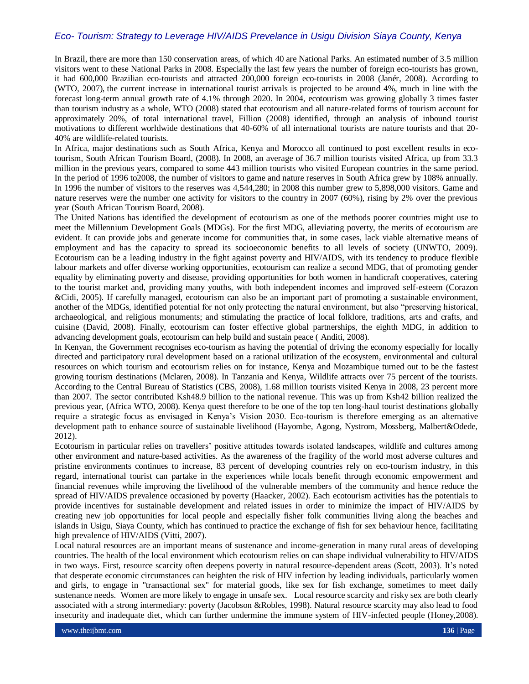In Brazil, there are more than 150 conservation areas, of which 40 are National Parks. An estimated number of 3.5 million visitors went to these National Parks in 2008. Especially the last few years the number of foreign eco-tourists has grown, it had 600,000 Brazilian eco-tourists and attracted 200,000 foreign eco-tourists in 2008 (Janér, 2008). According to (WTO, 2007), the current increase in international tourist arrivals is projected to be around 4%, much in line with the forecast long-term annual growth rate of 4.1% through 2020. In 2004, ecotourism was growing globally 3 times faster than tourism industry as a whole, WTO (2008) stated that ecotourism and all nature-related forms of tourism account for approximately 20%, of total international travel, Fillion (2008) identified, through an analysis of inbound tourist motivations to different worldwide destinations that 40-60% of all international tourists are nature tourists and that 20- 40% are wildlife-related tourists.

In Africa, major destinations such as South Africa, Kenya and Morocco all continued to post excellent results in ecotourism, South African Tourism Board, (2008). In 2008, an average of 36.7 million tourists visited Africa, up from 33.3 million in the previous years, compared to some 443 million tourists who visited European countries in the same period. In the period of 1996 to2008, the number of visitors to game and nature reserves in South Africa grew by 108% annually. In 1996 the number of visitors to the reserves was 4,544,280; in 2008 this number grew to 5,898,000 visitors. Game and nature reserves were the number one activity for visitors to the country in 2007 (60%), rising by 2% over the previous year (South African Tourism Board, 2008).

The United Nations has identified the development of ecotourism as one of the methods poorer countries might use to meet the Millennium Development Goals (MDGs). For the first MDG, alleviating poverty, the merits of ecotourism are evident. It can provide jobs and generate income for communities that, in some cases, lack viable alternative means of employment and has the capacity to spread its socioeconomic benefits to all levels of society (UNWTO, 2009). Ecotourism can be a leading industry in the fight against poverty and HIV/AIDS, with its tendency to produce flexible labour markets and offer diverse working opportunities, ecotourism can realize a second MDG, that of promoting gender equality by eliminating poverty and disease, providing opportunities for both women in handicraft cooperatives, catering to the tourist market and, providing many youths, with both independent incomes and improved self-esteem (Corazon &Cidi, 2005). If carefully managed, ecotourism can also be an important part of promoting a sustainable environment, another of the MDGs, identified potential for not only protecting the natural environment, but also "preserving historical, archaeological, and religious monuments; and stimulating the practice of local folklore, traditions, arts and crafts, and cuisine (David, 2008). Finally, ecotourism can foster effective global partnerships, the eighth MDG, in addition to advancing development goals, ecotourism can help build and sustain peace ( Anditi, 2008).

In Kenyan, the Government recognises eco-tourism as having the potential of driving the economy especially for locally directed and participatory rural development based on a rational utilization of the ecosystem, environmental and cultural resources on which tourism and ecotourism relies on for instance, Kenya and Mozambique turned out to be the fastest growing tourism destinations (Mclaren, 2008). In Tanzania and Kenya, Wildlife attracts over 75 percent of the tourists. According to the Central Bureau of Statistics (CBS, 2008), 1.68 million tourists visited Kenya in 2008, 23 percent more than 2007. The sector contributed Ksh48.9 billion to the national revenue. This was up from Ksh42 billion realized the previous year, (Africa WTO, 2008). Kenya quest therefore to be one of the top ten long-haul tourist destinations globally require a strategic focus as envisaged in Kenya's Vision 2030. Eco-tourism is therefore emerging as an alternative development path to enhance source of sustainable livelihood (Hayombe, Agong, Nystrom, Mossberg, Malbert&Odede, 2012).

Ecotourism in particular relies on travellers' positive attitudes towards isolated landscapes, wildlife and cultures among other environment and nature-based activities. As the awareness of the fragility of the world most adverse cultures and pristine environments continues to increase, 83 percent of developing countries rely on eco-tourism industry, in this regard, international tourist can partake in the experiences while locals benefit through economic empowerment and financial revenues while improving the livelihood of the vulnerable members of the community and hence reduce the spread of HIV/AIDS prevalence occasioned by poverty (Haacker, 2002). Each ecotourism activities has the potentials to provide incentives for sustainable development and related issues in order to minimize the impact of HIV/AIDS by creating new job opportunities for local people and especially fisher folk communities living along the beaches and islands in Usigu, Siaya County, which has continued to practice the exchange of fish for sex behaviour hence, facilitating high prevalence of HIV/AIDS (Vitti, 2007).

Local natural resources are an important means of sustenance and income-generation in many rural areas of developing countries. The health of the local environment which ecotourism relies on can shape individual vulnerability to HIV/AIDS in two ways. First, resource scarcity often deepens poverty in natural resource-dependent areas (Scott, 2003). It's noted that desperate economic circumstances can heighten the risk of HIV infection by leading individuals, particularly women and girls, to engage in "transactional sex" for material goods, like sex for fish exchange, sometimes to meet daily sustenance needs. Women are more likely to engage in unsafe sex. Local resource scarcity and risky sex are both clearly associated with a strong intermediary: poverty (Jacobson &Robles, 1998). Natural resource scarcity may also lead to food insecurity and inadequate diet, which can further undermine the immune system of HIV-infected people (Honey,2008).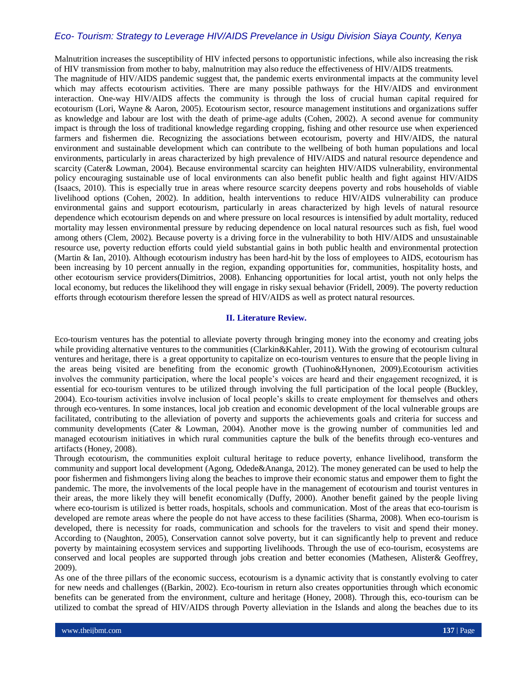Malnutrition increases the susceptibility of HIV infected persons to opportunistic infections, while also increasing the risk of HIV transmission from mother to baby, malnutrition may also reduce the effectiveness of HIV/AIDS treatments.

The magnitude of HIV/AIDS pandemic suggest that, the pandemic exerts environmental impacts at the community level which may affects ecotourism activities. There are many possible pathways for the HIV/AIDS and environment interaction. One-way HIV/AIDS affects the community is through the loss of crucial human capital required for ecotourism (Lori, Wayne & Aaron, 2005). Ecotourism sector, resource management institutions and organizations suffer as knowledge and labour are lost with the death of prime-age adults (Cohen, 2002). A second avenue for community impact is through the loss of traditional knowledge regarding cropping, fishing and other resource use when experienced farmers and fishermen die. Recognizing the associations between ecotourism, poverty and HIV/AIDS, the natural environment and sustainable development which can contribute to the wellbeing of both human populations and local environments, particularly in areas characterized by high prevalence of HIV/AIDS and natural resource dependence and scarcity (Cater& Lowman, 2004). Because environmental scarcity can heighten HIV/AIDS vulnerability, environmental policy encouraging sustainable use of local environments can also benefit public health and fight against HIV/AIDS (Isaacs, 2010). This is especially true in areas where resource scarcity deepens poverty and robs households of viable livelihood options (Cohen, 2002). In addition, health interventions to reduce HIV/AIDS vulnerability can produce environmental gains and support ecotourism, particularly in areas characterized by high levels of natural resource dependence which ecotourism depends on and where pressure on local resources is intensified by adult mortality, reduced mortality may lessen environmental pressure by reducing dependence on local natural resources such as fish, fuel wood among others (Clem, 2002). Because poverty is a driving force in the vulnerability to both HIV/AIDS and unsustainable resource use, poverty reduction efforts could yield substantial gains in both public health and environmental protection (Martin & Ian, 2010). Although ecotourism industry has been hard-hit by the loss of employees to AIDS, ecotourism has been increasing by 10 percent annually in the region, expanding opportunities for, communities, hospitality hosts, and other ecotourism service providers(Dimitrios, 2008). Enhancing opportunities for local artist, youth not only helps the local economy, but reduces the likelihood they will engage in risky sexual behavior (Fridell, 2009). The poverty reduction efforts through ecotourism therefore lessen the spread of HIV/AIDS as well as protect natural resources.

## **II. Literature Review.**

Eco-tourism ventures has the potential to alleviate poverty through bringing money into the economy and creating jobs while providing alternative ventures to the communities (Clarkin&Kahler, 2011). With the growing of ecotourism cultural ventures and heritage, there is a great opportunity to capitalize on eco-tourism ventures to ensure that the people living in the areas being visited are benefiting from the economic growth (Tuohino&Hynonen, 2009).Ecotourism activities involves the community participation, where the local people's voices are heard and their engagement recognized, it is essential for eco-tourism ventures to be utilized through involving the full participation of the local people (Buckley, 2004). Eco-tourism activities involve inclusion of local people's skills to create employment for themselves and others through eco-ventures. In some instances, local job creation and economic development of the local vulnerable groups are facilitated, contributing to the alleviation of poverty and supports the achievements goals and criteria for success and community developments (Cater & Lowman, 2004). Another move is the growing number of communities led and managed ecotourism initiatives in which rural communities capture the bulk of the benefits through eco-ventures and artifacts (Honey, 2008).

Through ecotourism, the communities exploit cultural heritage to reduce poverty, enhance livelihood, transform the community and support local development (Agong, Odede&Ananga, 2012). The money generated can be used to help the poor fishermen and fishmongers living along the beaches to improve their economic status and empower them to fight the pandemic. The more, the involvements of the local people have in the management of ecotourism and tourist ventures in their areas, the more likely they will benefit economically (Duffy, 2000). Another benefit gained by the people living where eco-tourism is utilized is better roads, hospitals, schools and communication. Most of the areas that eco-tourism is developed are remote areas where the people do not have access to these facilities (Sharma, 2008). When eco-tourism is developed, there is necessity for roads, communication and schools for the travelers to visit and spend their money. According to (Naughton, 2005), Conservation cannot solve poverty, but it can significantly help to prevent and reduce poverty by maintaining ecosystem services and supporting livelihoods. Through the use of eco-tourism, ecosystems are conserved and local peoples are supported through jobs creation and better economies (Mathesen, Alister& Geoffrey, 2009).

As one of the three pillars of the economic success, ecotourism is a dynamic activity that is constantly evolving to cater for new needs and challenges ((Barkin, 2002). Eco-tourism in return also creates opportunities through which economic benefits can be generated from the environment, culture and heritage (Honey, 2008). Through this, eco-tourism can be utilized to combat the spread of HIV/AIDS through Poverty alleviation in the Islands and along the beaches due to its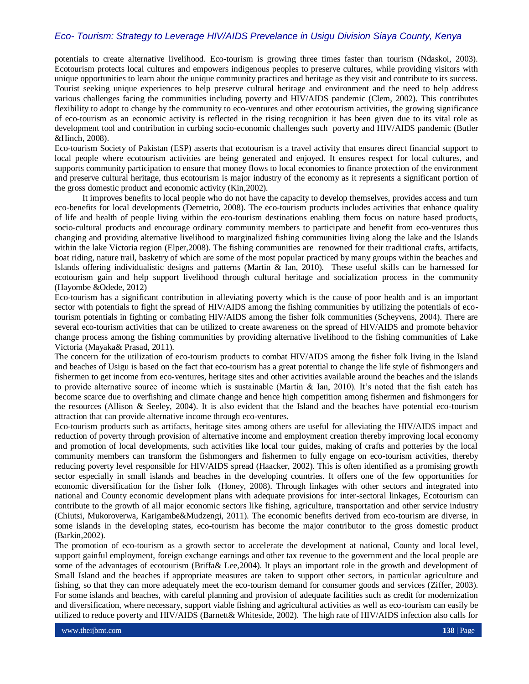potentials to create alternative livelihood. Eco-tourism is growing three times faster than tourism (Ndaskoi, 2003). Ecotourism protects local cultures and empowers indigenous peoples to preserve cultures, while providing visitors with unique opportunities to learn about the unique community practices and heritage as they visit and contribute to its success. Tourist seeking unique experiences to help preserve cultural heritage and environment and the need to help address various challenges facing the communities including poverty and HIV/AIDS pandemic (Clem, 2002). This contributes flexibility to adopt to change by the community to eco-ventures and other ecotourism activities, the growing significance of eco-tourism as an economic activity is reflected in the rising recognition it has been given due to its vital role as development tool and contribution in curbing socio-economic challenges such poverty and HIV/AIDS pandemic (Butler &Hinch, 2008).

Eco-tourism Society of Pakistan (ESP) asserts that ecotourism is a travel activity that ensures direct financial support to local people where ecotourism activities are being generated and enjoyed. It ensures respect for local cultures, and supports community participation to ensure that money flows to local economies to finance protection of the environment and preserve cultural heritage, thus ecotourism is major industry of the economy as it represents a significant portion of the gross domestic product and economic activity (Kin,2002).

 It improves benefits to local people who do not have the capacity to develop themselves, provides access and turn eco-benefits for local developments (Demetrio, 2008). The eco-tourism products includes activities that enhance quality of life and health of people living within the eco-tourism destinations enabling them focus on nature based products, socio-cultural products and encourage ordinary community members to participate and benefit from eco-ventures thus changing and providing alternative livelihood to marginalized fishing communities living along the lake and the Islands within the lake Victoria region (Elper, 2008). The fishing communities are renowned for their traditional crafts, artifacts, boat riding, nature trail, basketry of which are some of the most popular practiced by many groups within the beaches and Islands offering individualistic designs and patterns (Martin & Ian, 2010). These useful skills can be harnessed for ecotourism gain and help support livelihood through cultural heritage and socialization process in the community (Hayombe &Odede, 2012)

Eco-tourism has a significant contribution in alleviating poverty which is the cause of poor health and is an important sector with potentials to fight the spread of HIV/AIDS among the fishing communities by utilizing the potentials of ecotourism potentials in fighting or combating HIV/AIDS among the fisher folk communities (Scheyvens, 2004). There are several eco-tourism activities that can be utilized to create awareness on the spread of HIV/AIDS and promote behavior change process among the fishing communities by providing alternative livelihood to the fishing communities of Lake Victoria (Mayaka& Prasad, 2011).

The concern for the utilization of eco-tourism products to combat HIV/AIDS among the fisher folk living in the Island and beaches of Usigu is based on the fact that eco-tourism has a great potential to change the life style of fishmongers and fishermen to get income from eco-ventures, heritage sites and other activities available around the beaches and the islands to provide alternative source of income which is sustainable (Martin & Ian, 2010). It's noted that the fish catch has become scarce due to overfishing and climate change and hence high competition among fishermen and fishmongers for the resources (Allison & Seeley, 2004). It is also evident that the Island and the beaches have potential eco-tourism attraction that can provide alternative income through eco-ventures.

Eco-tourism products such as artifacts, heritage sites among others are useful for alleviating the HIV/AIDS impact and reduction of poverty through provision of alternative income and employment creation thereby improving local economy and promotion of local developments, such activities like local tour guides, making of crafts and potteries by the local community members can transform the fishmongers and fishermen to fully engage on eco-tourism activities, thereby reducing poverty level responsible for HIV/AIDS spread (Haacker, 2002). This is often identified as a promising growth sector especially in small islands and beaches in the developing countries. It offers one of the few opportunities for economic diversification for the fisher folk (Honey, 2008). Through linkages with other sectors and integrated into national and County economic development plans with adequate provisions for inter-sectoral linkages, Ecotourism can contribute to the growth of all major economic sectors like fishing, agriculture, transportation and other service industry (Chiutsi, Mukoroverwa, Karigambe&Mudzengi, 2011). The economic benefits derived from eco-tourism are diverse, in some islands in the developing states, eco-tourism has become the major contributor to the gross domestic product (Barkin,2002).

The promotion of eco-tourism as a growth sector to accelerate the development at national, County and local level, support gainful employment, foreign exchange earnings and other tax revenue to the government and the local people are some of the advantages of ecotourism (Briffa& Lee,2004). It plays an important role in the growth and development of Small Island and the beaches if appropriate measures are taken to support other sectors, in particular agriculture and fishing, so that they can more adequately meet the eco-tourism demand for consumer goods and services (Ziffer, 2003). For some islands and beaches, with careful planning and provision of adequate facilities such as credit for modernization and diversification, where necessary, support viable fishing and agricultural activities as well as eco-tourism can easily be utilized to reduce poverty and HIV/AIDS (Barnett& Whiteside, 2002). The high rate of HIV/AIDS infection also calls for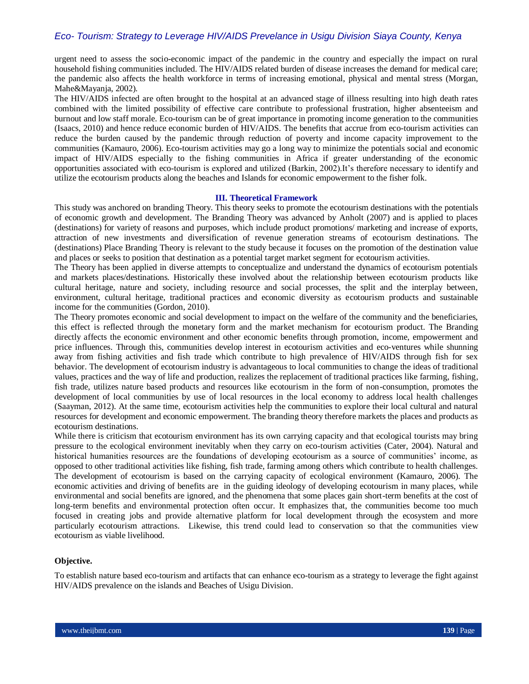urgent need to assess the socio-economic impact of the pandemic in the country and especially the impact on rural household fishing communities included. The HIV/AIDS related burden of disease increases the demand for medical care; the pandemic also affects the health workforce in terms of increasing emotional, physical and mental stress (Morgan, Mahe&Mayanja, 2002).

The HIV/AIDS infected are often brought to the hospital at an advanced stage of illness resulting into high death rates combined with the limited possibility of effective care contribute to professional frustration, higher absenteeism and burnout and low staff morale. Eco-tourism can be of great importance in promoting income generation to the communities (Isaacs, 2010) and hence reduce economic burden of HIV/AIDS. The benefits that accrue from eco-tourism activities can reduce the burden caused by the pandemic through reduction of poverty and income capacity improvement to the communities (Kamauro, 2006). Eco-tourism activities may go a long way to minimize the potentials social and economic impact of HIV/AIDS especially to the fishing communities in Africa if greater understanding of the economic opportunities associated with eco-tourism is explored and utilized (Barkin, 2002).It's therefore necessary to identify and utilize the ecotourism products along the beaches and Islands for economic empowerment to the fisher folk.

#### **III. Theoretical Framework**

This study was anchored on branding Theory. This theory seeks to promote the ecotourism destinations with the potentials of economic growth and development. The Branding Theory was advanced by Anholt (2007) and is applied to places (destinations) for variety of reasons and purposes, which include product promotions/ marketing and increase of exports, attraction of new investments and diversification of revenue generation streams of ecotourism destinations. The (destinations) Place Branding Theory is relevant to the study because it focuses on the promotion of the destination value and places or seeks to position that destination as a potential target market segment for ecotourism activities.

The Theory has been applied in diverse attempts to conceptualize and understand the dynamics of ecotourism potentials and markets places/destinations. Historically these involved about the relationship between ecotourism products like cultural heritage, nature and society, including resource and social processes, the split and the interplay between, environment, cultural heritage, traditional practices and economic diversity as ecotourism products and sustainable income for the communities (Gordon, 2010).

The Theory promotes economic and social development to impact on the welfare of the community and the beneficiaries, this effect is reflected through the monetary form and the market mechanism for ecotourism product. The Branding directly affects the economic environment and other economic benefits through promotion, income, empowerment and price influences. Through this, communities develop interest in ecotourism activities and eco-ventures while shunning away from fishing activities and fish trade which contribute to high prevalence of HIV/AIDS through fish for sex behavior. The development of ecotourism industry is advantageous to local communities to change the ideas of traditional values, practices and the way of life and production, realizes the replacement of traditional practices like farming, fishing, fish trade, utilizes nature based products and resources like ecotourism in the form of non-consumption, promotes the development of local communities by use of local resources in the local economy to address local health challenges (Saayman, 2012). At the same time, ecotourism activities help the communities to explore their local cultural and natural resources for development and economic empowerment. The branding theory therefore markets the places and products as ecotourism destinations.

While there is criticism that ecotourism environment has its own carrying capacity and that ecological tourists may bring pressure to the ecological environment inevitably when they carry on eco-tourism activities (Cater, 2004). Natural and historical humanities resources are the foundations of developing ecotourism as a source of communities' income, as opposed to other traditional activities like fishing, fish trade, farming among others which contribute to health challenges. The development of ecotourism is based on the carrying capacity of ecological environment (Kamauro, 2006). The economic activities and driving of benefits are in the guiding ideology of developing ecotourism in many places, while environmental and social benefits are ignored, and the phenomena that some places gain short-term benefits at the cost of long-term benefits and environmental protection often occur. It emphasizes that, the communities become too much focused in creating jobs and provide alternative platform for local development through the ecosystem and more particularly ecotourism attractions. Likewise, this trend could lead to conservation so that the communities view ecotourism as viable livelihood.

## **Objective.**

To establish nature based eco-tourism and artifacts that can enhance eco-tourism as a strategy to leverage the fight against HIV/AIDS prevalence on the islands and Beaches of Usigu Division.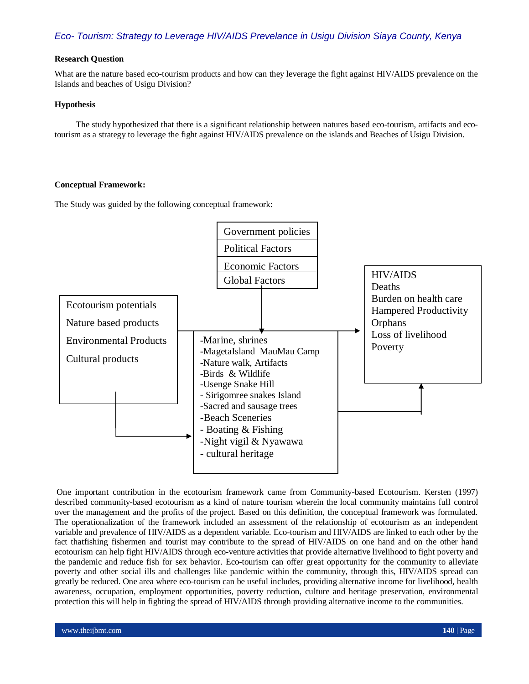#### **Research Question**

What are the nature based eco-tourism products and how can they leverage the fight against HIV/AIDS prevalence on the Islands and beaches of Usigu Division?

# **Hypothesis**

 The study hypothesized that there is a significant relationship between natures based eco-tourism, artifacts and ecotourism as a strategy to leverage the fight against HIV/AIDS prevalence on the islands and Beaches of Usigu Division.

## **Conceptual Framework:**

The Study was guided by the following conceptual framework:



One important contribution in the ecotourism framework came from Community-based Ecotourism. Kersten (1997) described community-based ecotourism as a kind of nature tourism wherein the local community maintains full control over the management and the profits of the project. Based on this definition, the conceptual framework was formulated. The operationalization of the framework included an assessment of the relationship of ecotourism as an independent variable and prevalence of HIV/AIDS as a dependent variable. Eco-tourism and HIV/AIDS are linked to each other by the fact thatfishing fishermen and tourist may contribute to the spread of HIV/AIDS on one hand and on the other hand ecotourism can help fight HIV/AIDS through eco-venture activities that provide alternative livelihood to fight poverty and the pandemic and reduce fish for sex behavior. Eco-tourism can offer great opportunity for the community to alleviate poverty and other social ills and challenges like pandemic within the community, through this, HIV/AIDS spread can greatly be reduced. One area where eco-tourism can be useful includes, providing alternative income for livelihood, health awareness, occupation, employment opportunities, poverty reduction, culture and heritage preservation, environmental protection this will help in fighting the spread of HIV/AIDS through providing alternative income to the communities.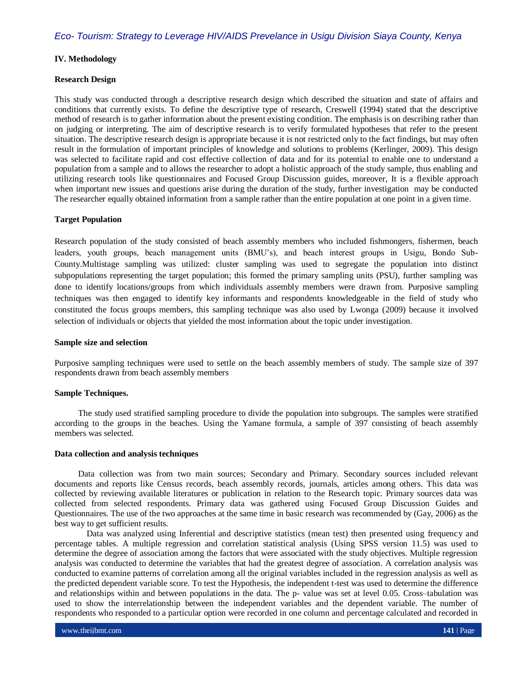#### **IV. Methodology**

## **Research Design**

This study was conducted through a descriptive research design which described the situation and state of affairs and conditions that currently exists. To define the descriptive type of research, Creswell (1994) stated that the descriptive method of research is to gather information about the present existing condition. The emphasis is on describing rather than on judging or interpreting. The aim of descriptive research is to verify formulated hypotheses that refer to the present situation. The descriptive research design is appropriate because it is not restricted only to the fact findings, but may often result in the formulation of important principles of knowledge and solutions to problems (Kerlinger, 2009). This design was selected to facilitate rapid and cost effective collection of data and for its potential to enable one to understand a population from a sample and to allows the researcher to adopt a holistic approach of the study sample, thus enabling and utilizing research tools like questionnaires and Focused Group Discussion guides, moreover, It is a flexible approach when important new issues and questions arise during the duration of the study, further investigation may be conducted The researcher equally obtained information from a sample rather than the entire population at one point in a given time.

## **Target Population**

Research population of the study consisted of beach assembly members who included fishmongers, fishermen, beach leaders, youth groups, beach management units (BMU's), and beach interest groups in Usigu, Bondo Sub-County.Multistage sampling was utilized: cluster sampling was used to segregate the population into distinct subpopulations representing the target population; this formed the primary sampling units (PSU), further sampling was done to identify locations/groups from which individuals assembly members were drawn from. Purposive sampling techniques was then engaged to identify key informants and respondents knowledgeable in the field of study who constituted the focus groups members, this sampling technique was also used by Lwonga (2009) because it involved selection of individuals or objects that yielded the most information about the topic under investigation.

#### **Sample size and selection**

Purposive sampling techniques were used to settle on the beach assembly members of study. The sample size of 397 respondents drawn from beach assembly members

#### **Sample Techniques.**

 The study used stratified sampling procedure to divide the population into subgroups. The samples were stratified according to the groups in the beaches. Using the Yamane formula, a sample of 397 consisting of beach assembly members was selected.

#### **Data collection and analysis techniques**

 Data collection was from two main sources; Secondary and Primary. Secondary sources included relevant documents and reports like Census records, beach assembly records, journals, articles among others. This data was collected by reviewing available literatures or publication in relation to the Research topic. Primary sources data was collected from selected respondents. Primary data was gathered using Focused Group Discussion Guides and Questionnaires. The use of the two approaches at the same time in basic research was recommended by (Gay, 2006) as the best way to get sufficient results.

 Data was analyzed using Inferential and descriptive statistics (mean test) then presented using frequency and percentage tables. A multiple regression and correlation statistical analysis (Using SPSS version 11.5) was used to determine the degree of association among the factors that were associated with the study objectives. Multiple regression analysis was conducted to determine the variables that had the greatest degree of association. A correlation analysis was conducted to examine patterns of correlation among all the original variables included in the regression analysis as well as the predicted dependent variable score. To test the Hypothesis, the independent t-test was used to determine the difference and relationships within and between populations in the data. The p- value was set at level 0.05. Cross–tabulation was used to show the interrelationship between the independent variables and the dependent variable. The number of respondents who responded to a particular option were recorded in one column and percentage calculated and recorded in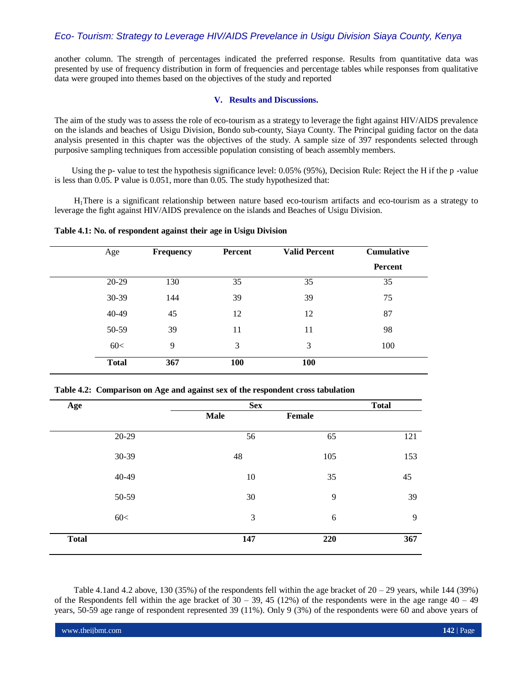another column. The strength of percentages indicated the preferred response. Results from quantitative data was presented by use of frequency distribution in form of frequencies and percentage tables while responses from qualitative data were grouped into themes based on the objectives of the study and reported

#### **V. Results and Discussions.**

The aim of the study was to assess the role of eco-tourism as a strategy to leverage the fight against HIV/AIDS prevalence on the islands and beaches of Usigu Division, Bondo sub-county, Siaya County. The Principal guiding factor on the data analysis presented in this chapter was the objectives of the study. A sample size of 397 respondents selected through purposive sampling techniques from accessible population consisting of beach assembly members.

 Using the p- value to test the hypothesis significance level: 0.05% (95%), Decision Rule: Reject the H if the p -value is less than 0.05. P value is 0.051, more than 0.05. The study hypothesized that:

 H1There is a significant relationship between nature based eco-tourism artifacts and eco-tourism as a strategy to leverage the fight against HIV/AIDS prevalence on the islands and Beaches of Usigu Division.

**Table 4.1: No. of respondent against their age in Usigu Division**

| Age          | <b>Frequency</b> | <b>Percent</b> | <b>Valid Percent</b> | <b>Cumulative</b> |
|--------------|------------------|----------------|----------------------|-------------------|
|              |                  |                |                      | Percent           |
| 20-29        | 130              | 35             | 35                   | 35                |
| $30-39$      | 144              | 39             | 39                   | 75                |
| 40-49        | 45               | 12             | 12                   | 87                |
| 50-59        | 39               | 11             | 11                   | 98                |
| 60<          | 9                | 3              | 3                    | 100               |
| <b>Total</b> | 367              | <b>100</b>     | 100                  |                   |

**Table 4.2: Comparison on Age and against sex of the respondent cross tabulation**

| Age          |       | <b>Sex</b>  | <b>Total</b> |     |
|--------------|-------|-------------|--------------|-----|
|              |       | <b>Male</b> | Female       |     |
|              | 20-29 | 56          | 65           | 121 |
|              | 30-39 | 48          | 105          | 153 |
|              | 40-49 | 10          | 35           | 45  |
|              | 50-59 | 30          | 9            | 39  |
|              | 60<   | 3           | $\sqrt{6}$   | 9   |
| <b>Total</b> |       | 147         | 220          | 367 |

Table 4.1and 4.2 above, 130 (35%) of the respondents fell within the age bracket of  $20 - 29$  years, while 144 (39%) of the Respondents fell within the age bracket of  $30 - 39$ , 45 (12%) of the respondents were in the age range  $40 - 49$ years, 50-59 age range of respondent represented 39 (11%). Only 9 (3%) of the respondents were 60 and above years of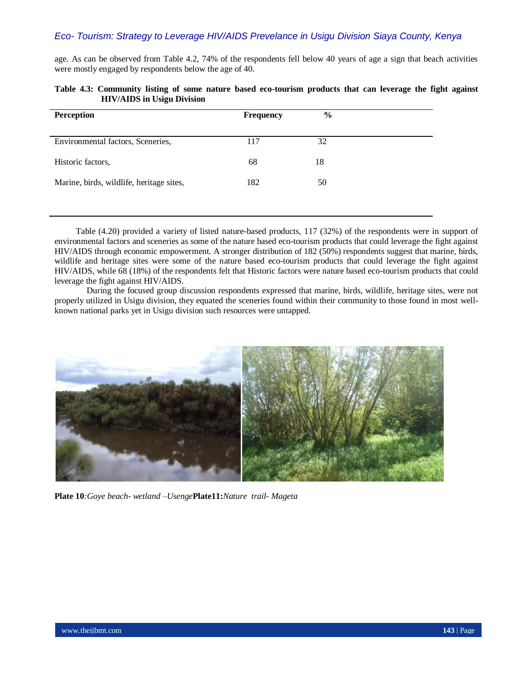age. As can be observed from Table 4.2, 74% of the respondents fell below 40 years of age a sign that beach activities were mostly engaged by respondents below the age of 40.

| <b>Perception</b>                        | <b>Frequency</b> | $\frac{6}{6}$ |
|------------------------------------------|------------------|---------------|
| Environmental factors, Sceneries,        | 117              | 32            |
| Historic factors,                        | 68               | 18            |
| Marine, birds, wildlife, heritage sites, | 182              | 50            |
|                                          |                  |               |

|                                   |  |  | Table 4.3: Community listing of some nature based eco-tourism products that can leverage the fight against |  |  |  |  |
|-----------------------------------|--|--|------------------------------------------------------------------------------------------------------------|--|--|--|--|
| <b>HIV/AIDS</b> in Usigu Division |  |  |                                                                                                            |  |  |  |  |

 Table (4.20) provided a variety of listed nature-based products, 117 (32%) of the respondents were in support of environmental factors and sceneries as some of the nature based eco-tourism products that could leverage the fight against HIV/AIDS through economic empowerment. A stronger distribution of 182 (50%) respondents suggest that marine, birds, wildlife and heritage sites were some of the nature based eco-tourism products that could leverage the fight against HIV/AIDS, while 68 (18%) of the respondents felt that Historic factors were nature based eco-tourism products that could leverage the fight against HIV/AIDS.

 During the focused group discussion respondents expressed that marine, birds, wildlife, heritage sites, were not properly utilized in Usigu division, they equated the sceneries found within their community to those found in most wellknown national parks yet in Usigu division such resources were untapped.



**Plate 10***:Goye beach- wetland –Usenge***Plate11:***Nature trail- Mageta*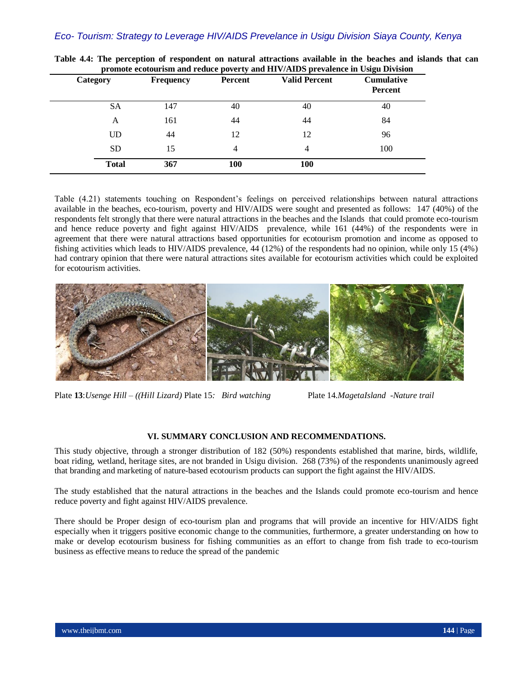| Category     | <b>Frequency</b> | Percent | <b>Valid Percent</b> | <b>Cumulative</b><br>Percent |  |
|--------------|------------------|---------|----------------------|------------------------------|--|
| <b>SA</b>    | 147              | 40      | 40                   | 40                           |  |
| A            | 161              | 44      | 44                   | 84                           |  |
| UD           | 44               | 12      | 12                   | 96                           |  |
| <b>SD</b>    | 15               | 4       | 4                    | 100                          |  |
| <b>Total</b> | 367              | 100     | 100                  |                              |  |

**Table 4.4: The perception of respondent on natural attractions available in the beaches and islands that can promote ecotourism and reduce poverty and HIV/AIDS prevalence in Usigu Division**

Table (4.21) statements touching on Respondent's feelings on perceived relationships between natural attractions available in the beaches, eco-tourism, poverty and HIV/AIDS were sought and presented as follows: 147 (40%) of the respondents felt strongly that there were natural attractions in the beaches and the Islands that could promote eco-tourism and hence reduce poverty and fight against HIV/AIDS prevalence, while 161 (44%) of the respondents were in agreement that there were natural attractions based opportunities for ecotourism promotion and income as opposed to fishing activities which leads to HIV/AIDS prevalence, 44 (12%) of the respondents had no opinion, while only 15 (4%) had contrary opinion that there were natural attractions sites available for ecotourism activities which could be exploited for ecotourism activities.



Plate **13**:*Usenge Hill – ((Hill Lizard)* Plate 15*: Bird watching* Plate 14*.MagetaIsland* -*Nature trail* 

# **VI. SUMMARY CONCLUSION AND RECOMMENDATIONS.**

This study objective, through a stronger distribution of 182 (50%) respondents established that marine, birds, wildlife, boat riding, wetland, heritage sites, are not branded in Usigu division. 268 (73%) of the respondents unanimously agreed that branding and marketing of nature-based ecotourism products can support the fight against the HIV/AIDS.

The study established that the natural attractions in the beaches and the Islands could promote eco-tourism and hence reduce poverty and fight against HIV/AIDS prevalence.

There should be Proper design of eco-tourism plan and programs that will provide an incentive for HIV/AIDS fight especially when it triggers positive economic change to the communities, furthermore, a greater understanding on how to make or develop ecotourism business for fishing communities as an effort to change from fish trade to eco-tourism business as effective means to reduce the spread of the pandemic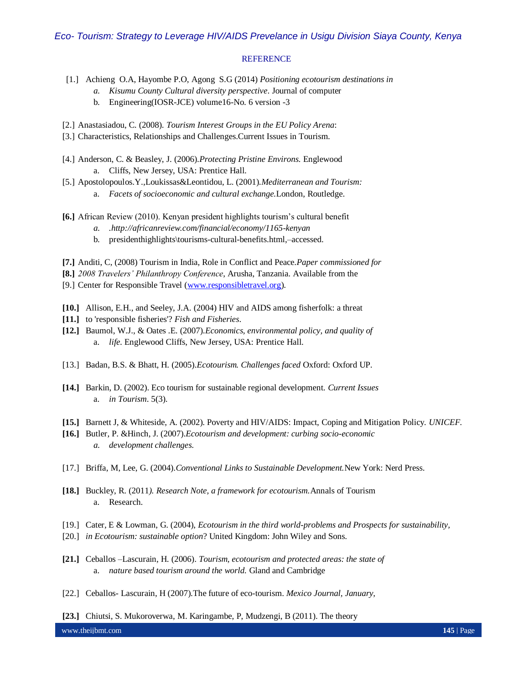#### **REFERENCE**

- [1.] Achieng O.A, Hayombe P.O, Agong S.G (2014) *Positioning ecotourism destinations in*
	- *a. Kisumu County Cultural diversity perspective*. Journal of computer
	- b. Engineering(IOSR-JCE) volume16-No. 6 version -3
- [2.] Anastasiadou, C. (2008). *Tourism Interest Groups in the EU Policy Arena*:
- [3.] Characteristics, Relationships and Challenges.Current Issues in Tourism.
- [4.] Anderson, C. & Beasley, J. (2006).*Protecting Pristine Environs.* Englewood a. Cliffs, New Jersey, USA: Prentice Hall.
- [5.] Apostolopoulos.Y.,Loukissas&Leontidou, L. (2001).*Mediterranean and Tourism:*  a. *Facets of socioeconomic and cultural exchange.*London, Routledge.
- **[6.]** African Review (2010). Kenyan president highlights tourism's cultural benefit
	- *a. .http://africanreview.com/financial/economy/1165-kenyan*
	- b. presidenthighlights\tourisms-cultural-benefits.html,–accessed.
- **[7.]** Anditi, C, (2008) Tourism in India, Role in Conflict and Peace.*Paper commissioned for*
- **[8.]** *2008 Travelers' Philanthropy Conference*, Arusha, Tanzania. Available from the
- [9.] Center for Responsible Travel [\(www.responsibletravel.org\)](http://www.responsibletravel.org/).
- **[10.]** Allison, E.H., and Seeley, J.A. (2004) HIV and AIDS among fisherfolk: a threat
- **[11.]** to 'responsible fisheries'? *Fish and Fisheries*.
- **[12.]** Baumol, W.J., & Oates .E. (2007).*Economics, environmental policy, and quality of*  a. *life.* Englewood Cliffs, New Jersey, USA: Prentice Hall.
- [13.] Badan, B.S. & Bhatt, H. (2005).*Ecotourism. Challenges faced* Oxford: Oxford UP.
- **[14.]** Barkin, D. (2002). Eco tourism for sustainable regional development. *Current Issues*  a. *in Tourism*. 5(3).
- **[15.]** Barnett J, & Whiteside, A. (2002). Poverty and HIV/AIDS: Impact, Coping and Mitigation Policy*. UNICEF.*
- **[16.]** Butler, P. &Hinch, J. (2007).*Ecotourism and development: curbing socio-economic a. development challenges.*
- [17.] Briffa, M, Lee, G. (2004).*Conventional Links to Sustainable Development.*New York: Nerd Press.
- **[18.]** Buckley, R. (2011*). Research Note, a framework for ecotourism.*Annals of Tourism a. Research.
- [19.] Cater, E & Lowman, G. (2004), *Ecotourism in the third world-problems and Prospects for sustainability,*
- [20.] *in Ecotourism: sustainable option*? United Kingdom: John Wiley and Sons.
- **[21.]** Ceballos –Lascurain, H. (2006). *Tourism, ecotourism and protected areas: the state of*  a. *nature based tourism around the world.* Gland and Cambridge
- [22.] Ceballos- Lascurain, H (2007).The future of eco-tourism. *Mexico Journal, January,*
- **[23.]** Chiutsi, S. Mukoroverwa, M. Karingambe, P, Mudzengi, B (2011). The theory

www.theijbmt.com **145** | Page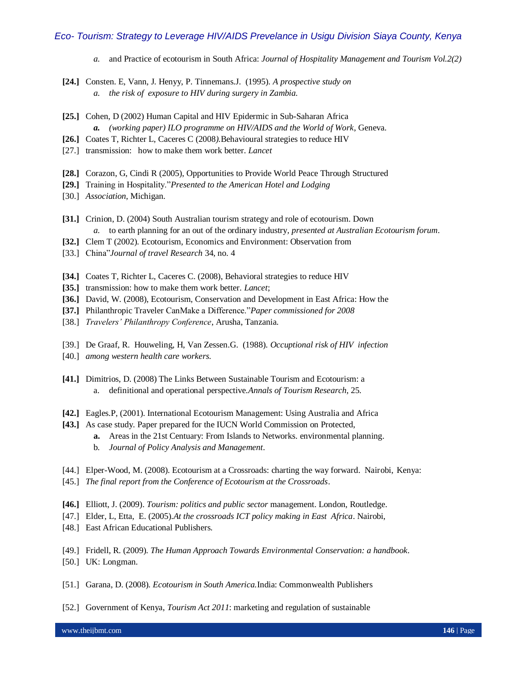- *a.* and Practice of ecotourism in South Africa: *Journal of Hospitality Management and Tourism Vol.2(2)*
- **[24.]** Consten. E, Vann, J. Henyy, P. Tinnemans.J. (1995). *A prospective study on a. the risk of exposure to HIV during surgery in Zambia.*
- **[25.]** Cohen, D (2002) Human Capital and HIV Epidermic in Sub-Saharan Africa *a. (working paper) ILO programme on HIV/AIDS and the World of Work*, Geneva*.*
- **[26.]** Coates T, Richter L, Caceres C (2008*).*Behavioural strategies to reduce HIV
- [27.] transmission: how to make them work better. *Lancet*
- **[28.]** Corazon, G, Cindi R (2005), Opportunities to Provide World Peace Through Structured
- **[29.]** Training in Hospitality."*Presented to the American Hotel and Lodging*
- [30.] *Association*, Michigan.
- **[31.]** Crinion, D. (2004) South Australian tourism strategy and role of ecotourism. Down *a.* to earth planning for an out of the ordinary industry*, presented at Australian Ecotourism forum*.
- **[32.]** Clem T (2002). Ecotourism, Economics and Environment: Observation from
- [33.] China"*Journal of travel Research* 34, no. 4
- **[34.]** Coates T, Richter L, Caceres C. (2008), Behavioral strategies to reduce HIV
- **[35.]** transmission: how to make them work better. *Lancet*;
- **[36.]** David, W. (2008), Ecotourism, Conservation and Development in East Africa: How the
- **[37.]** Philanthropic Traveler CanMake a Difference."*Paper commissioned for 2008*
- [38.] *Travelers' Philanthropy Conference*, Arusha, Tanzania.
- [39.] De Graaf, R. Houweling, H, Van Zessen.G. (1988). *Occuptional risk of HIV infection*
- [40.] *among western health care workers.*
- **[41.]** Dimitrios, D. (2008) The Links Between Sustainable Tourism and Ecotourism: a a. definitional and operational perspective.*Annals of Tourism Research*, 25.
- **[42.]** Eagles.P, (2001). International Ecotourism Management: Using Australia and Africa
- **[43.]** As case study. Paper prepared for the IUCN World Commission on Protected,
	- **a.** Areas in the 21st Centuary: From Islands to Networks. environmental planning.
	- b. *Journal of Policy Analysis and Management*.
- [44.] Elper-Wood, M. (2008). Ecotourism at a Crossroads: charting the way forward. Nairobi, Kenya:
- [45.] *The final report from the Conference of Ecotourism at the Crossroads*.
- **[46.]** Elliott, J. (2009). *Tourism: politics and public sector* management. London, Routledge.
- [47.] Elder, L, Etta, E. (2005).*At the crossroads ICT policy making in East Africa*. Nairobi,
- [48.] East African Educational Publishers.
- [49.] Fridell, R. (2009). *The Human Approach Towards Environmental Conservation: a handbook*.
- [50.] UK: Longman.
- [51.] Garana, D. (2008). *Ecotourism in South America.*India: Commonwealth Publishers
- [52.] Government of Kenya, *Tourism Act 2011*: marketing and regulation of sustainable

www.theijbmt.com **146** | Page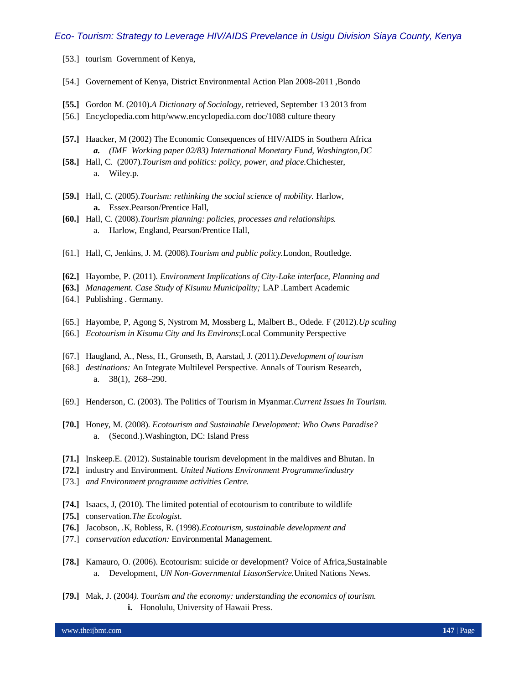- [53.] tourism Government of Kenya,
- [54.] Governement of Kenya, District Environmental Action Plan 2008-2011 ,Bondo
- **[55.]** Gordon M. (2010).*A Dictionary of Sociology,* retrieved, September 13 2013 from
- [56.] Encyclopedia.com http/www.encyclopedia.com doc/1088 culture theory
- **[57.]** Haacker, M (2002) The Economic Consequences of HIV/AIDS in Southern Africa *a. (IMF Working paper 02/83) International Monetary Fund, Washington,DC*
- **[58.]** Hall, C. (2007).*Tourism and politics: policy, power, and place.*Chichester, a. Wiley.p.
- **[59.]** Hall, C. (2005).*Tourism: rethinking the social science of mobility.* Harlow, **a.** Essex.Pearson/Prentice Hall,
- **[60.]** Hall, C. (2008).*Tourism planning: policies, processes and relationships.* a. Harlow, England, Pearson/Prentice Hall,
- [61.] Hall, C, Jenkins, J. M. (2008).*Tourism and public policy.*London, Routledge.
- **[62.]** Hayombe, P. (2011). *Environment Implications of City-Lake interface, Planning and*
- **[63.]** *Management. Case Study of Kisumu Municipality;* LAP .Lambert Academic
- [64.] Publishing . Germany.
- [65.] Hayombe, P, Agong S, Nystrom M, Mossberg L, Malbert B., Odede. F (2012).*Up scaling*
- [66.] *Ecotourism in Kisumu City and Its Environs*;Local Community Perspective
- [67.] Haugland, A., Ness, H., Gronseth, B, Aarstad, J. (2011).*Development of tourism*
- [68.] *destinations:* An Integrate Multilevel Perspective. Annals of Tourism Research, a. 38(1), 268–290.
- [69.] Henderson, C. (2003). The Politics of Tourism in Myanmar.*Current Issues In Tourism.*
- **[70.]** Honey, M. (2008). *Ecotourism and Sustainable Development: Who Owns Paradise?*  a. (Second.[\).Washington, DC:](http://en.wikipedia.org/wiki/Washington,_DC) Island Press
- **[71.]** Inskeep.E. (2012). Sustainable tourism development in the maldives and Bhutan. In
- **[72.]** industry and Environment. *United Nations Environment Programme/industry*
- [73.] *and Environment programme activities Centre.*
- **[74.]** Isaacs, J, (2010). The limited potential of ecotourism to contribute to wildlife
- **[75.]** conservation.*The Ecologist*.
- **[76.]** Jacobson, .K, Robless, R. (1998).*Ecotourism, sustainable development and*
- [77.] *conservation education:* Environmental Management.
- **[78.]** Kamauro, O. (2006). Ecotourism: suicide or development? Voice of Africa,Sustainable a. Development, *UN Non-Governmental LiasonService.*United Nations News.
- **[79.]** Mak, J. (2004*). Tourism and the economy: understanding the economics of tourism.* **i.** Honolulu, University of Hawaii Press.